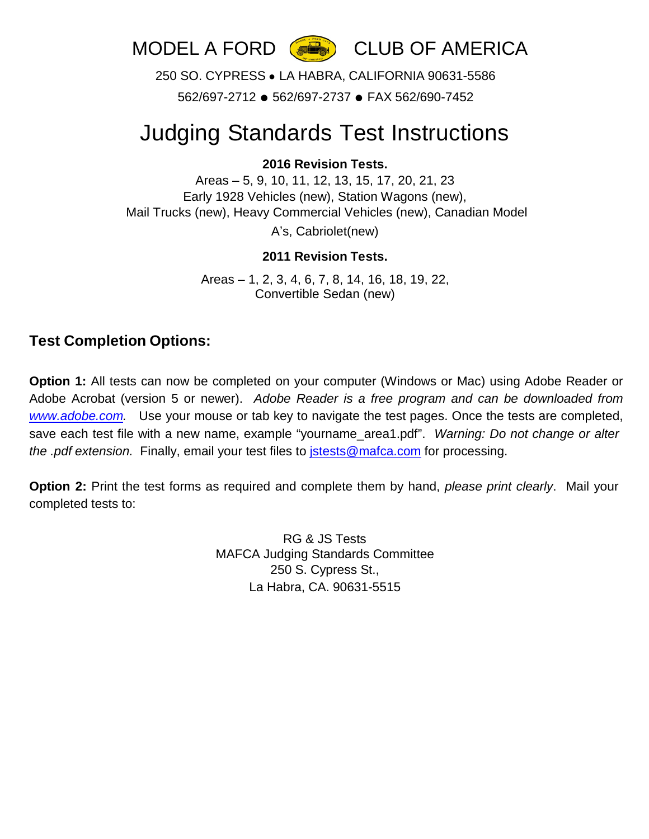

250 SO. CYPRESS ● LA HABRA, CALIFORNIA 90631-5586 562/697-2712 ● 562/697-2737 ● FAX 562/690-7452

## Judging Standards Test Instructions

## **2016 Revision Tests.**

Areas – 5, 9, 10, 11, 12, 13, 15, 17, 20, 21, 23 Early 1928 Vehicles (new), Station Wagons (new), Mail Trucks (new), Heavy Commercial Vehicles (new), Canadian Model A's, Cabriolet(new)

## **2011 Revision Tests.**

Areas – 1, 2, 3, 4, 6, 7, 8, 14, 16, 18, 19, 22, Convertible Sedan (new)

## **Test Completion Options:**

**Option 1:** All tests can now be completed on your computer (Windows or Mac) using Adobe Reader or Adobe Acrobat (version 5 or newer). *Adobe Reader is a free program and can be downloaded from [www.adobe.com.](http://www.adobe.com/)* Use your mouse or tab key to navigate the test pages. Once the tests are completed, save each test file with a new name, example "yourname\_area1.pdf". *Warning: Do not change or alter the .pdf extension.* Finally, email your test files to [jstests@mafca.com](mailto:jstests@mafca.com) for processing.

**Option 2:** Print the test forms as required and complete them by hand, *please print clearly*. Mail your completed tests to:

> RG & JS Tests MAFCA Judging Standards Committee 250 S. Cypress St., La Habra, CA. 90631-5515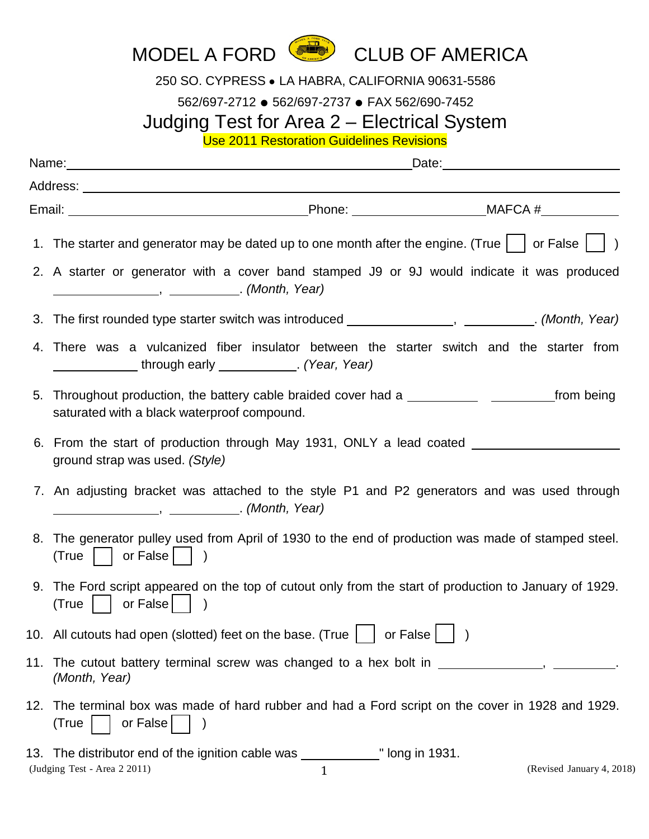

250 SO. CYPRESS ● LA HABRA, CALIFORNIA 90631-5586

562/697-2712 ● 562/697-2737 ● FAX 562/690-7452

Judging Test for Area 2 – Electrical System

Use 2011 Restoration Guidelines Revisions

| 1. The starter and generator may be dated up to one month after the engine. (True $\vert \ \vert$ or False $\vert \ \vert$ )                          |
|-------------------------------------------------------------------------------------------------------------------------------------------------------|
| 2. A starter or generator with a cover band stamped J9 or 9J would indicate it was produced<br>(Month, Year) ( <i>Month</i> , Year)                   |
| 3. The first rounded type starter switch was introduced _____________________________. (Month, Year)                                                  |
| 4. There was a vulcanized fiber insulator between the starter switch and the starter from<br>_______________through early _____________. (Year, Year) |
| 5. Throughout production, the battery cable braided cover had a ________________<br>_from being<br>saturated with a black waterproof compound.        |
| 6. From the start of production through May 1931, ONLY a lead coated<br>ground strap was used. (Style)                                                |
| 7. An adjusting bracket was attached to the style P1 and P2 generators and was used through<br>(Month, Year) (300)                                    |
| 8. The generator pulley used from April of 1930 to the end of production was made of stamped steel.<br>(True   or False   )                           |
| 9. The Ford script appeared on the top of cutout only from the start of production to January of 1929.<br>$(True  $ or False $   $                    |
| 10. All cutouts had open (slotted) feet on the base. (True $\Box$ or False $\Box$ )                                                                   |
| 11. The cutout battery terminal screw was changed to a hex bolt in<br>(Month, Year)                                                                   |
| 12. The terminal box was made of hard rubber and had a Ford script on the cover in 1928 and 1929.<br>or False<br>(True                                |
| ulled long in 1931.<br>13. The distributor end of the ignition cable was ___________                                                                  |